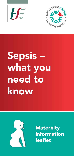



# Sepsis – what you need to know



**Maternity** information leaflet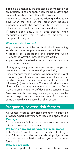Sepsis is a potentially life threatening complication of an infection. It can happen when the body develops an infection which then affects the organs.

It is a rare but important diagnosis during and up to 42 days after the end of the pregnancy, because pregnancy affects the body's ability to respond to infection which could cause an increased risk of sepsis.

If sepsis does occur, it is best treated when recognised early. That is why it's important to recognise the signs.

## Who is at risk of sepsis?

Anyone who has an infection is at risk of developing sepsis but some people have an increased risk:

- people on medications and treatments which affect the way the immune system works
- people who have had an organ transplant and are taking medication.

During pregnancy your immune system changes to prevent your body from rejecting your baby.

These changes make pregnant women more at risk of developing infections, in particular, viral infection. This is why pregnant women are at particular risk of Influenza (flu) and COVID-19. The overall risk of severe illness is low but pregnant women who develop flu or COVID-19 are at higher risk of developing serious illness.

Most women who get pregnant are young and healthy and this helps protect them from sepsis. But there are some things which increase the risk of sepsis.

## Pregnancy-related risk factors

All women need to pay close attention to infection prevention, particularly if any of these risks apply to you.

## **Cerclage**

This is when a stitch is put in the cervix to prevent miscarriage during pregnancy.

## Pre-term or prolonged rupture of membranes

If the 'waters' have broken either early or for longer than 24 hours, an infection can develop. Symptoms can include pain, a bad smell and you may begin to feel unwell.

## Retained products

Sometimes part of the placenta or membranes stay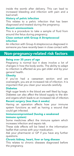inside the womb after delivery. This can lead to increased bleeding and infection with pain and a bad smell.

## History of pelvic infection

This relates to a pelvic infection that has been diagnosed and treated during the pregnancy.

## Recent amniocentesis

This is a procedure to take a sample of fluid from around the fetus during pregnancy.

## Close contact with Group A Streptococcal infection

An infection with Group A streptococcus diagnosed in someone you have recently been in close contact with.

## Non-pregnancy-related risk factors

## Being over 35 years of age

Pregnancy is normal but it does involve a lot of changes in how the body works. The ability to adapt to infection is affected as you get older and by your general health.

## **Obesity**

If you've had a caesarean section and are overweight, you are at increased risk of infection. It is important that you clean your wounds carefully.

## **Diabetes**

High sugar levels in the blood are well liked by bugs. Diabetes can also affect the blood supply to the skin and organs which leads to an increased risk of infection.

## Recent surgery (less than 6 weeks)

Having an operation affects how your immune system functions as well as having a wound that could get infected.

#### Immunocompromised (having a weakened immune system)

Some medicines affect the immune system which increases infection and sepsis risk.

These side effects will be listed in the information leaflet that comes with your medication.

Ask your pharmacist or GP if you have any further questions.

## Chronic kidney, heart, liver or lung disease

This relates to chronic diseases diagnosed before the pregnancy.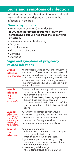## Signs and symptoms of infection

Infection causes a combination of general and local signs and symptoms depending on where the infection is in the body.

## General symptoms

- Temperature over 38ºC or under 36ºC If you take paracetamol this may lower the temperature but will not treat the underlying infection.
- Severe uncontrollable shivering
- Fatigue
- Loss of appetite
- Muscle and joint pain
- Vomiting
- Diarrhoea

## Signs and symptoms of pregnancy related infections

| <b>Breast</b><br>infection<br>(e.g. mastitis)                                               | Your breast may be painful and/or warm to<br>the touch. There may be an area of<br>swelling or redness on your breast. You<br>may also be feeling generally unwell and<br>experience pain or a burning sensation.<br>This may happen during breastfeeding or<br>at any other time.                                                  |
|---------------------------------------------------------------------------------------------|-------------------------------------------------------------------------------------------------------------------------------------------------------------------------------------------------------------------------------------------------------------------------------------------------------------------------------------|
| Womb<br>infection<br>(e.g.<br>chorio-<br>amnionitis)                                        | Tummy or lower tummy pain that is not<br>relieved by painkillers is a concern. You may:<br>- have smelly blood loss<br>- start to have heavy bleeding again even<br>though it had previously eased off<br>- be feeling unwell and have some of the<br>general symptoms of infection outlined<br>above.                              |
| Wound<br>infection<br>following a<br>caesarean<br>section (or<br>where you<br>had stitches) | Around the caesarean section wound:<br>- May feel hot, painful, look red and swollen<br>- May or may not have pus present<br>You may be feeling unwell with general<br>symptoms of infection outlined above.                                                                                                                        |
| <b>Genital</b><br>tract<br>infection                                                        | You may experience:<br>- inflammation, irritation<br>vaginal<br>and<br>discharge in the birth canal<br>- irritation on the skin of the labia.<br>If you have a pelvic infection, you may:<br>- experience pain lower in your tummy<br>and/or your lower back<br>- have a vaginal discharge<br>- have a temperature and feel unwell. |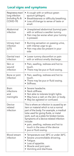## Local signs and symptoms

| Respiratory tract/<br>lung infection<br>(including flu &<br>COVID-19) | • A cough with or without green<br>sputum (phlegm).<br>• Breathlessness or difficulty breathing.<br>• Loss of/change to sense of taste or<br>smell.                                                                                                                                                                                                                             |
|-----------------------------------------------------------------------|---------------------------------------------------------------------------------------------------------------------------------------------------------------------------------------------------------------------------------------------------------------------------------------------------------------------------------------------------------------------------------|
| Abdominal<br>infection                                                | · Unexplained abdominal (tummy) pain<br>with or without a swollen tummy.<br>• Pain may be worse when your tummy<br>is pressed.                                                                                                                                                                                                                                                  |
| Urinary tract<br>infection<br>(UTI)                                   | · Burning sensation on passing urine,<br>with intense urge to go.<br>· Pain may also be present in your<br>side                                                                                                                                                                                                                                                                 |
| Genital tract<br>infection                                            | • Lower tummy discomfort or pain<br>with or without smelly discharge.                                                                                                                                                                                                                                                                                                           |
| Skin or<br>wound<br>infection                                         | • Pain, swelling, redness and hot to<br>touch.<br>• There may be pus or fluid oozing.                                                                                                                                                                                                                                                                                           |
| Bone or joint<br>infection                                            | • Pain, swelling, redness and hot to<br>touch.<br>• There may be pus or fluid oozing.<br>• Stiffness.                                                                                                                                                                                                                                                                           |
| Brain<br>infections<br>and<br>meningitis                              | • Severe headache.<br>• Neck stiffness.<br>. Not able to tolerate bright lights.<br>• May have a rash on the skin or body.<br>• May be agitated or confused.                                                                                                                                                                                                                    |
| Device-<br>related<br>infection                                       | This is where an infection is caused by an<br>item or material which is not a normal<br>part of the body. For example, a medical<br>tube used for giving fluids, or metal<br>work, such as a plate for broken bones.<br>Symptoms of a device-related infection<br>include:<br>• pain, swelling, redness and hot to<br>touch in the area of the device<br>• pus or fluid oozing. |
| Blood stream<br>infection                                             | Temperature over 38°C or under 36°C.<br>$\bullet$<br>Severe uncontrollable shivering.<br>• Fatigue.<br>• Loss of appetite.<br>• Muscle and joint pain.<br>• Vomiting and diarrhoea.                                                                                                                                                                                             |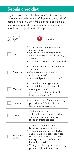# Sepsis checklist

If you or someone else has an infection, use the following checklist to see if they may be at risk of sepsis. If you tick any of the boxes, it could be a sign of sepsis and organ malfunction, and you should get urgent medical help.

| Tick if<br>applies | Part of the<br>body<br>affected | Consider                                                                                                                                                                                                                                                                                              |
|--------------------|---------------------------------|-------------------------------------------------------------------------------------------------------------------------------------------------------------------------------------------------------------------------------------------------------------------------------------------------------|
|                    | <b>Brain</b>                    | • Is the person behaving as they<br>normally do?<br>• Changes can range from mild<br>agitation or confusion all the way to<br>a coma.<br>• Are they too sick to communicate?                                                                                                                          |
|                    | Breathing                       | • Is their breathing pattern very fast<br>and laboured?<br>• Can they finish a sentence<br>without a pause?<br>• Are their lips tinged with blue?                                                                                                                                                     |
|                    | Circulation                     | • Is their heart racing very fast?<br>• Are their hands and feet cold,<br>clammy and pale?<br>• Are they persistently dizzy when<br>they sit or stand up?                                                                                                                                             |
|                    | Kidneys                         | • Is it more than 12 hours since they<br>passed urine? And do they not<br>feel a need to pass urine?                                                                                                                                                                                                  |
|                    | Clotting                        | • Do they have a new rash that is<br>still visible when pressed on by<br>your finger or when a glass is<br>rolled over it (glass test)?                                                                                                                                                               |
|                    | Functional<br>status            | • Is there a change in their<br>behaviour or performance?<br>• In some people with intellectual<br>and/or physical disabilities it can<br>be difficult to recognise these<br>changes, especially if you don't<br>know them well.<br>Young people may have severe leg<br>pain and difficulty standing. |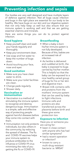## Preventing infection and sepsis

Our bodies are very well designed and have multiple layers of defence against infection. Not all bugs cause infection and bugs in the right place are essential for our body to be healthy. We have bugs on our skin and our digestive system that not only help keep us well but also ensure that our immune system is working well and that we are getting essential vitamins and minerals.

Here are some things you can do to protect against infection.

## **Good hygiene**

- Keep yourself clean and wash your hands regularly and thoroughly.
- Keep your environment clean.
- Use soap and hot water to keep the number of bugs down.
- Avoid touching your face, nose and eyes

#### **Good sanitation**

- Make sure you have clean water to drink.
- Make sure your toilet facilities are clean.
- Change pads regularly.
- Shower daily.

#### **Vaccination or immunisation**

- Vaccination is a method of stimulating the immune system to recognise and destroy dangerous bugs. Immunisation is a simple, safe and effective way of protecting people against harmful diseases before they come into contact with them.
- Immunisation not only protects individuals, but also others in the community, by reducing the spread of disease. The flu and COVID-19 vaccines helps your immune system to produce antibodies to the influenza or COVID-19 virus minimising the risks of you getting the flu or COVID-19.

#### **Breastfeeding**

- When a baby is born his/her immune system is not fully developed. Because of this, babies are at increased risk of infection.
- As he/she is delivered and cuddled at birth, the baby is exposed to bugs carried by his/her mother. This is helpful so that the baby can be exposed to a nice healthy varied group of bugs for his or her skin and digestive tract.
- Breast milk contains cells and proteins from the mothers' immune system that can be used by baby to fight infections. Immune cells and proteins are also transferred across the placenta before birth and these give some protection too.

#### **Exposure to infection**

Have you or someone you are caring for:

- been in close contact with anyone who has had similar symptoms?
- had a recent operation or infection?
- known to carry a multi-drug resistant bacteria i.e. MRSA?